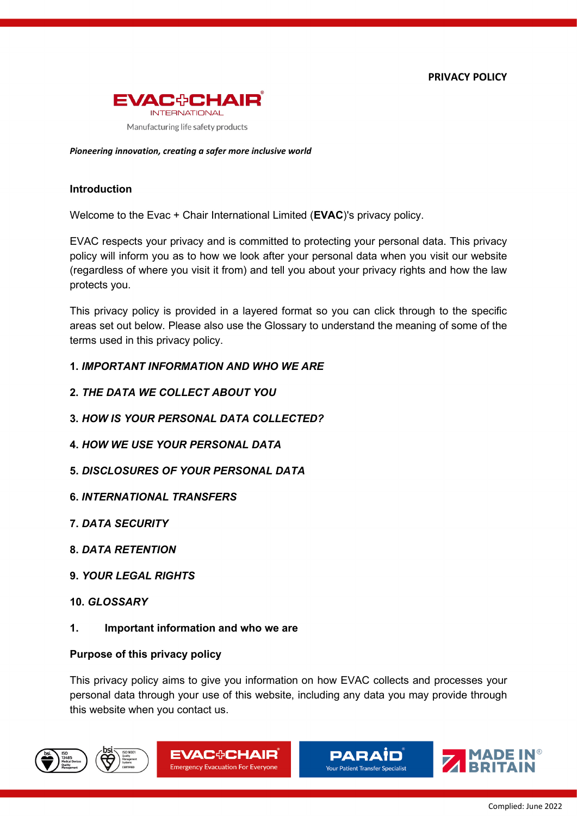**PRIVACY POLICY**



*Pioneering innovation, creating a safer more inclusive world*

### **Introduction**

Welcome to the Evac + Chair International Limited (**EVAC**)'s privacy policy.

EVAC respects your privacy and is committed to protecting your personal data. This privacy policy will inform you as to how we look after your personal data when you visit our website (regardless of where you visit it from) and tell you about your privacy rights and how the law protects you.

This privacy policy is provided in a layered format so you can click through to the specific areas set out below. Please also use the Glossary to understand the meaning of some of the terms used in this privacy policy.

- **1.** *IMPORTANT INFORMATION AND WHO WE ARE*
- **2.** *THE DATA WE COLLECT ABOUT YOU*
- **3.** *HOW IS YOUR PERSONAL DATA COLLECTED?*
- **4.** *HOW WE USE YOUR PERSONAL DATA*
- **5.** *DISCLOSURES OF YOUR PERSONAL DATA*
- **6.** *INTERNATIONAL TRANSFERS*
- **7.** *DATA SECURITY*
- **8.** *DATA RETENTION*
- **9.** *YOUR LEGAL RIGHTS*
- **10.** *GLOSSARY*
- **1. Important information and who we are**

### **Purpose of this privacy policy**

This privacy policy aims to give you information on how EVAC collects and processes your personal data through your use of this website, including any data you may provide through this website when you contact us.







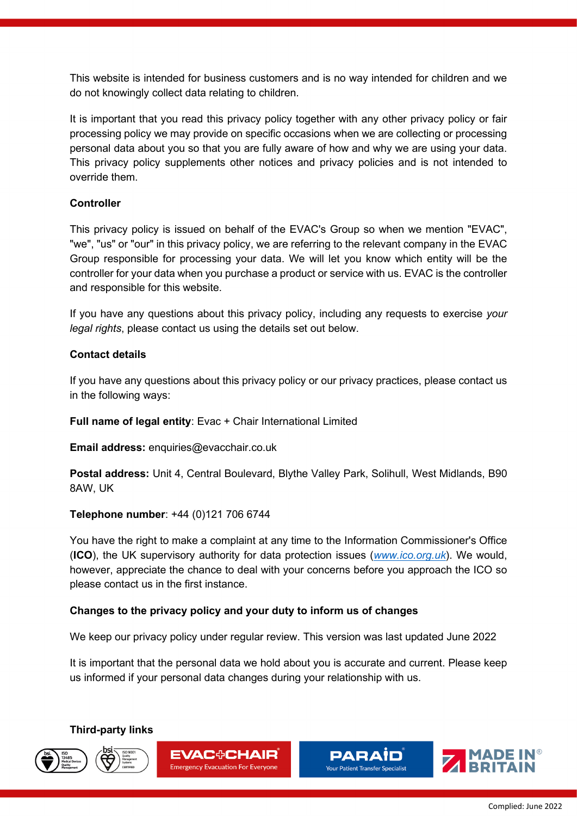This website is intended for business customers and is no way intended for children and we do not knowingly collect data relating to children.

It is important that you read this privacy policy together with any other privacy policy or fair processing policy we may provide on specific occasions when we are collecting or processing personal data about you so that you are fully aware of how and why we are using your data. This privacy policy supplements other notices and privacy policies and is not intended to override them.

## **Controller**

This privacy policy is issued on behalf of the EVAC's Group so when we mention "EVAC", "we", "us" or "our" in this privacy policy, we are referring to the relevant company in the EVAC Group responsible for processing your data. We will let you know which entity will be the controller for your data when you purchase a product or service with us. EVAC is the controller and responsible for this website.

If you have any questions about this privacy policy, including any requests to exercise *your legal rights*, please contact us using the details set out below.

### **Contact details**

If you have any questions about this privacy policy or our privacy practices, please contact us in the following ways:

**Full name of legal entity:** Evac + Chair International Limited

**Email address:** enquiries@evacchair.co.uk

**Postal address:** Unit 4, Central Boulevard, Blythe Valley Park, Solihull, West Midlands, B90 8AW, UK

### **Telephone number**: +44 (0)121 706 6744

You have the right to make a complaint at any time to the Information Commissioner's Office (**ICO**), the UK supervisory authority for data protection issues (*www.ico.org.uk*). We would, however, appreciate the chance to deal with your concerns before you approach the ICO so please contact us in the first instance.

### **Changes to the privacy policy and your duty to inform us of changes**

We keep our privacy policy under regular review. This version was last updated June 2022

It is important that the personal data we hold about you is accurate and current. Please keep us informed if your personal data changes during your relationship with us.

**Third-party links**









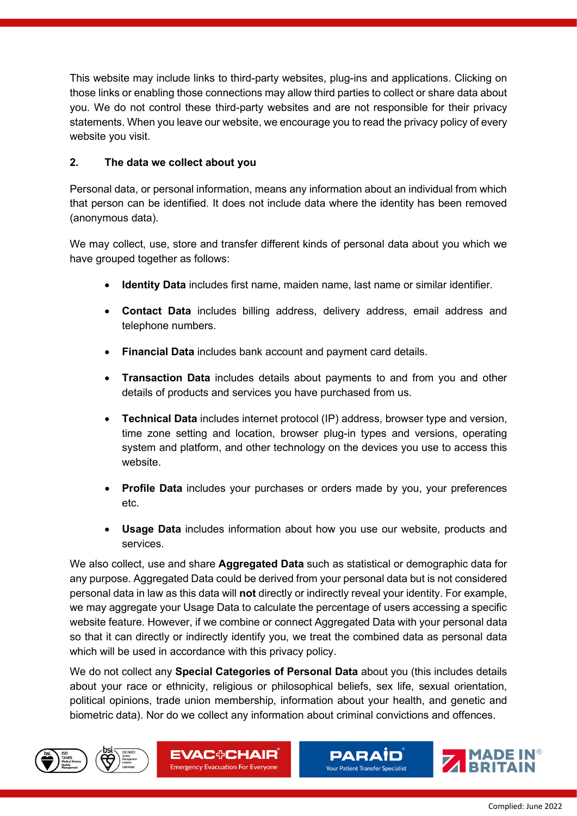This website may include links to third-party websites, plug-ins and applications. Clicking on those links or enabling those connections may allow third parties to collect or share data about you. We do not control these third-party websites and are not responsible for their privacy statements. When you leave our website, we encourage you to read the privacy policy of every website you visit.

# **2. The data we collect about you**

Personal data, or personal information, means any information about an individual from which that person can be identified. It does not include data where the identity has been removed (anonymous data).

We may collect, use, store and transfer different kinds of personal data about you which we have grouped together as follows:

- **Identity Data** includes first name, maiden name, last name or similar identifier.
- **Contact Data** includes billing address, delivery address, email address and telephone numbers.
- **Financial Data** includes bank account and payment card details.
- **Transaction Data** includes details about payments to and from you and other details of products and services you have purchased from us.
- **Technical Data** includes internet protocol (IP) address, browser type and version, time zone setting and location, browser plug-in types and versions, operating system and platform, and other technology on the devices you use to access this website.
- **Profile Data** includes your purchases or orders made by you, your preferences etc.
- **Usage Data** includes information about how you use our website, products and services.

We also collect, use and share **Aggregated Data** such as statistical or demographic data for any purpose. Aggregated Data could be derived from your personal data but is not considered personal data in law as this data will **not** directly or indirectly reveal your identity. For example, we may aggregate your Usage Data to calculate the percentage of users accessing a specific website feature. However, if we combine or connect Aggregated Data with your personal data so that it can directly or indirectly identify you, we treat the combined data as personal data which will be used in accordance with this privacy policy.

We do not collect any **Special Categories of Personal Data** about you (this includes details about your race or ethnicity, religious or philosophical beliefs, sex life, sexual orientation, political opinions, trade union membership, information about your health, and genetic and biometric data). Nor do we collect any information about criminal convictions and offences.









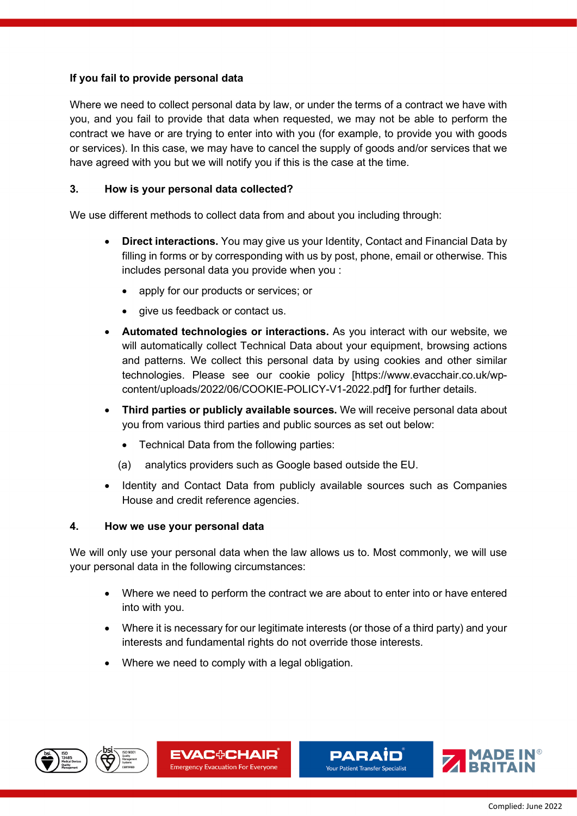# **If you fail to provide personal data**

Where we need to collect personal data by law, or under the terms of a contract we have with you, and you fail to provide that data when requested, we may not be able to perform the contract we have or are trying to enter into with you (for example, to provide you with goods or services). In this case, we may have to cancel the supply of goods and/or services that we have agreed with you but we will notify you if this is the case at the time.

## **3. How is your personal data collected?**

We use different methods to collect data from and about you including through:

- **Direct interactions.** You may give us your Identity, Contact and Financial Data by filling in forms or by corresponding with us by post, phone, email or otherwise. This includes personal data you provide when you :
	- apply for our products or services; or
	- give us feedback or contact us.
- **Automated technologies or interactions.** As you interact with our website, we will automatically collect Technical Data about your equipment, browsing actions and patterns. We collect this personal data by using cookies and other similar technologies. Please see our cookie policy [https://www.evacchair.co.uk/wpcontent/uploads/2022/06/COOKIE-POLICY-V1-2022.pdf**]** for further details.
- **Third parties or publicly available sources.** We will receive personal data about you from various third parties and public sources as set out below:
	- Technical Data from the following parties:
	- (a) analytics providers such as Google based outside the EU.
- Identity and Contact Data from publicly available sources such as Companies House and credit reference agencies.

### **4. How we use your personal data**

We will only use your personal data when the law allows us to. Most commonly, we will use your personal data in the following circumstances:

- Where we need to perform the contract we are about to enter into or have entered into with you.
- Where it is necessary for our legitimate interests (or those of a third party) and your interests and fundamental rights do not override those interests.
- Where we need to comply with a legal obligation.









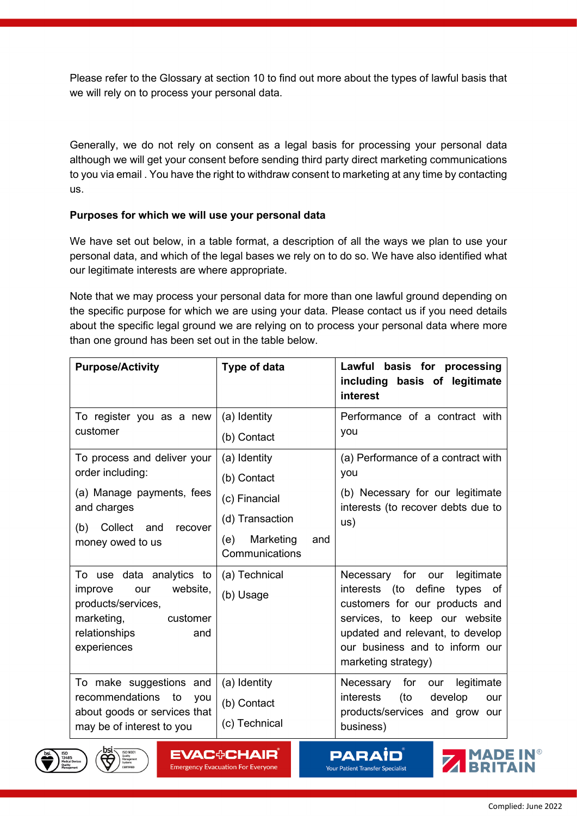Please refer to the Glossary at section [10](#page-8-0) to find out more about the types of lawful basis that we will rely on to process your personal data.

Generally, we do not rely on consent as a legal basis for processing your personal data although we will get your consent before sending third party direct marketing communications to you via email . You have the right to withdraw consent to marketing at any time by contacting us.

### **Purposes for which we will use your personal data**

We have set out below, in a table format, a description of all the ways we plan to use your personal data, and which of the legal bases we rely on to do so. We have also identified what our legitimate interests are where appropriate.

Note that we may process your personal data for more than one lawful ground depending on the specific purpose for which we are using your data. Please contact us if you need details about the specific legal ground we are relying on to process your personal data where more than one ground has been set out in the table below.

| <b>Purpose/Activity</b>                                                                                                                             | Type of data                                                                                                 | basis for processing<br>Lawful<br>including basis of legitimate<br>interest                                                                                                                                                            |
|-----------------------------------------------------------------------------------------------------------------------------------------------------|--------------------------------------------------------------------------------------------------------------|----------------------------------------------------------------------------------------------------------------------------------------------------------------------------------------------------------------------------------------|
| To register you as a new<br>customer                                                                                                                | (a) Identity<br>(b) Contact                                                                                  | Performance of a contract with<br>you                                                                                                                                                                                                  |
| To process and deliver your<br>order including:<br>(a) Manage payments, fees<br>and charges<br>Collect<br>(b)<br>and<br>recover<br>money owed to us | (a) Identity<br>(b) Contact<br>(c) Financial<br>(d) Transaction<br>Marketing<br>(e)<br>and<br>Communications | (a) Performance of a contract with<br>you<br>(b) Necessary for our legitimate<br>interests (to recover debts due to<br>US)                                                                                                             |
| To use data analytics to<br>website,<br>improve<br>our<br>products/services,<br>marketing,<br>customer<br>relationships<br>and<br>experiences       | (a) Technical<br>(b) Usage                                                                                   | Necessary<br>for our<br>legitimate<br>interests (to define<br>types of<br>customers for our products and<br>services, to keep our website<br>updated and relevant, to develop<br>our business and to inform our<br>marketing strategy) |
| To make suggestions and<br>recommendations<br>to<br>you<br>about goods or services that<br>may be of interest to you                                | (a) Identity<br>(b) Contact<br>(c) Technical                                                                 | Necessary for<br>legitimate<br>our<br>interests<br>(to<br>develop<br>our<br>products/services and grow our<br>business)                                                                                                                |





**EVAC+CHAIR Emergency Evacuation For Everyone** 

**PARAID Your Patient Transfer Specialist** 

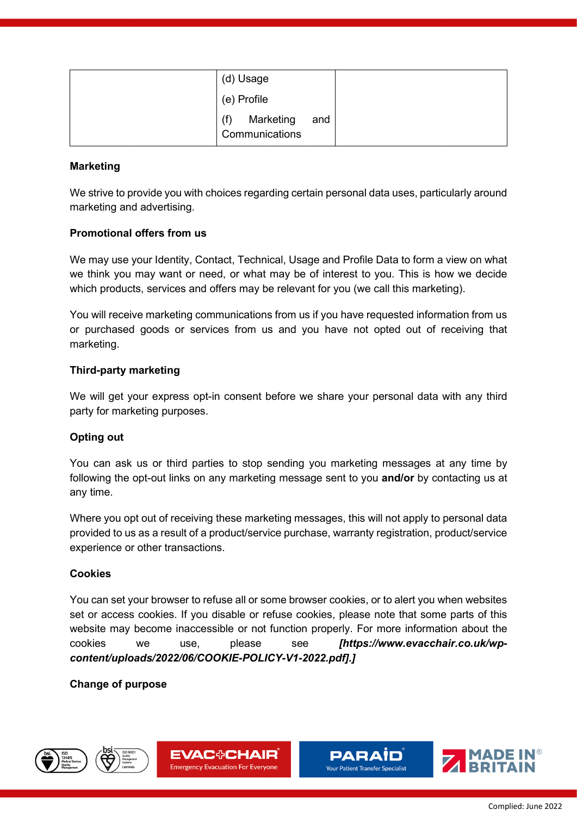| (d) Usage                                 |  |
|-------------------------------------------|--|
| (e) Profile                               |  |
| (f)<br>Marketing<br>and<br>Communications |  |

## **Marketing**

We strive to provide you with choices regarding certain personal data uses, particularly around marketing and advertising.

## **Promotional offers from us**

We may use your Identity, Contact, Technical, Usage and Profile Data to form a view on what we think you may want or need, or what may be of interest to you. This is how we decide which products, services and offers may be relevant for you (we call this marketing).

You will receive marketing communications from us if you have requested information from us or purchased goods or services from us and you have not opted out of receiving that marketing.

## **Third-party marketing**

We will get your express opt-in consent before we share your personal data with any third party for marketing purposes.

# **Opting out**

You can ask us or third parties to stop sending you marketing messages at any time by following the opt-out links on any marketing message sent to you **and/or** by contacting us at any time.

Where you opt out of receiving these marketing messages, this will not apply to personal data provided to us as a result of a product/service purchase, warranty registration, product/service experience or other transactions.

### **Cookies**

You can set your browser to refuse all or some browser cookies, or to alert you when websites set or access cookies. If you disable or refuse cookies, please note that some parts of this website may become inaccessible or not function properly. For more information about the cookies we use, please see *[https://www.evacchair.co.uk/wpcontent/uploads/2022/06/COOKIE-POLICY-V1-2022.pdf].]*

# **Change of purpose**









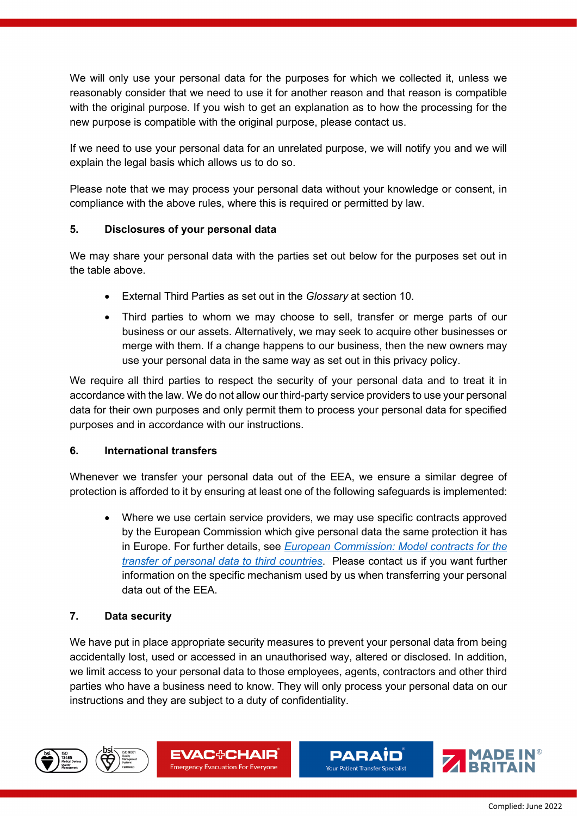We will only use your personal data for the purposes for which we collected it, unless we reasonably consider that we need to use it for another reason and that reason is compatible with the original purpose. If you wish to get an explanation as to how the processing for the new purpose is compatible with the original purpose, please contact us.

If we need to use your personal data for an unrelated purpose, we will notify you and we will explain the legal basis which allows us to do so.

Please note that we may process your personal data without your knowledge or consent, in compliance with the above rules, where this is required or permitted by law.

## **5. Disclosures of your personal data**

We may share your personal data with the parties set out below for the purposes set out in the table above.

- External Third Parties as set out in the *Glossary* at section [10.](#page-8-0)
- Third parties to whom we may choose to sell, transfer or merge parts of our business or our assets. Alternatively, we may seek to acquire other businesses or merge with them. If a change happens to our business, then the new owners may use your personal data in the same way as set out in this privacy policy.

We require all third parties to respect the security of your personal data and to treat it in accordance with the law. We do not allow our third-party service providers to use your personal data for their own purposes and only permit them to process your personal data for specified purposes and in accordance with our instructions.

### **6. International transfers**

Whenever we transfer your personal data out of the EEA, we ensure a similar degree of protection is afforded to it by ensuring at least one of the following safeguards is implemented:

• Where we use certain service providers, we may use specific contracts approved by the European Commission which give personal data the same protection it has in Europe. For further details, see *European Commission: Model contracts for the transfer of personal data to third countries*. Please contact us if you want further information on the specific mechanism used by us when transferring your personal data out of the EEA.

### **7. Data security**

We have put in place appropriate security measures to prevent your personal data from being accidentally lost, used or accessed in an unauthorised way, altered or disclosed. In addition, we limit access to your personal data to those employees, agents, contractors and other third parties who have a business need to know. They will only process your personal data on our instructions and they are subject to a duty of confidentiality.









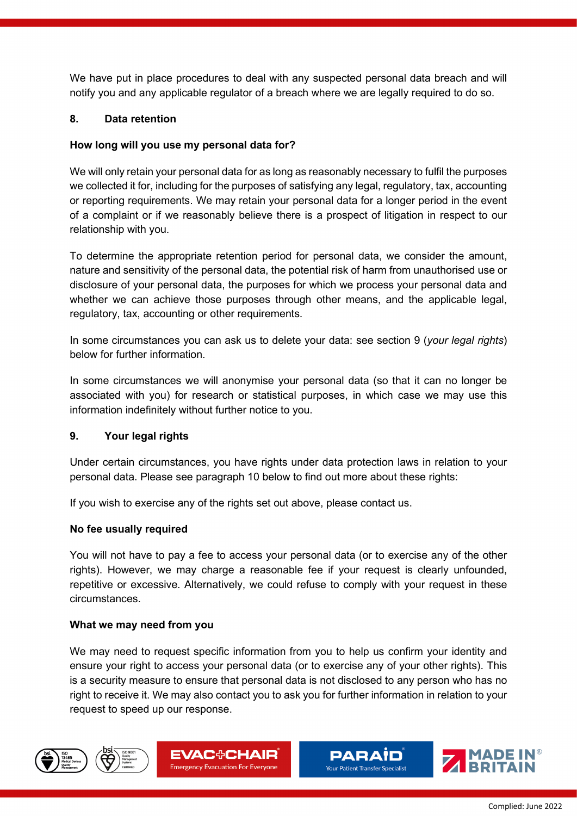We have put in place procedures to deal with any suspected personal data breach and will notify you and any applicable regulator of a breach where we are legally required to do so.

## **8. Data retention**

### **How long will you use my personal data for?**

We will only retain your personal data for as long as reasonably necessary to fulfil the purposes we collected it for, including for the purposes of satisfying any legal, regulatory, tax, accounting or reporting requirements. We may retain your personal data for a longer period in the event of a complaint or if we reasonably believe there is a prospect of litigation in respect to our relationship with you.

To determine the appropriate retention period for personal data, we consider the amount, nature and sensitivity of the personal data, the potential risk of harm from unauthorised use or disclosure of your personal data, the purposes for which we process your personal data and whether we can achieve those purposes through other means, and the applicable legal, regulatory, tax, accounting or other requirements.

In some circumstances you can ask us to delete your data: see section [9](#page-7-0) (*your legal rights*) below for further information.

In some circumstances we will anonymise your personal data (so that it can no longer be associated with you) for research or statistical purposes, in which case we may use this information indefinitely without further notice to you.

### <span id="page-7-0"></span>**9. Your legal rights**

Under certain circumstances, you have rights under data protection laws in relation to your personal data. Please see paragraph [10](#page-8-0) below to find out more about these rights:

If you wish to exercise any of the rights set out above, please contact us.

### **No fee usually required**

You will not have to pay a fee to access your personal data (or to exercise any of the other rights). However, we may charge a reasonable fee if your request is clearly unfounded, repetitive or excessive. Alternatively, we could refuse to comply with your request in these circumstances.

### **What we may need from you**

We may need to request specific information from you to help us confirm your identity and ensure your right to access your personal data (or to exercise any of your other rights). This is a security measure to ensure that personal data is not disclosed to any person who has no right to receive it. We may also contact you to ask you for further information in relation to your request to speed up our response.









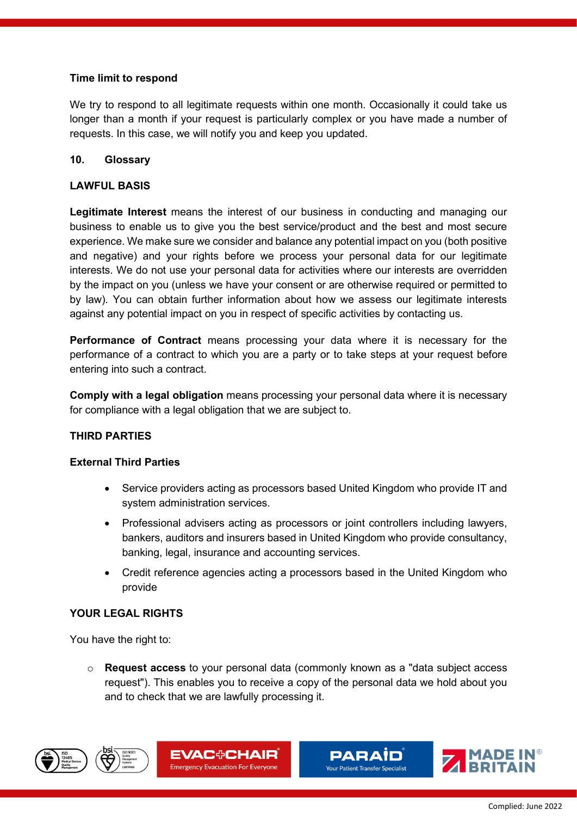## **Time limit to respond**

We try to respond to all legitimate requests within one month. Occasionally it could take us longer than a month if your request is particularly complex or you have made a number of requests. In this case, we will notify you and keep you updated.

## <span id="page-8-0"></span>**10. Glossary**

### **LAWFUL BASIS**

**Legitimate Interest** means the interest of our business in conducting and managing our business to enable us to give you the best service/product and the best and most secure experience. We make sure we consider and balance any potential impact on you (both positive and negative) and your rights before we process your personal data for our legitimate interests. We do not use your personal data for activities where our interests are overridden by the impact on you (unless we have your consent or are otherwise required or permitted to by law). You can obtain further information about how we assess our legitimate interests against any potential impact on you in respect of specific activities by contacting us.

**Performance of Contract** means processing your data where it is necessary for the performance of a contract to which you are a party or to take steps at your request before entering into such a contract.

**Comply with a legal obligation** means processing your personal data where it is necessary for compliance with a legal obligation that we are subject to.

# **THIRD PARTIES**

### **External Third Parties**

- Service providers acting as processors based United Kingdom who provide IT and system administration services.
- Professional advisers acting as processors or joint controllers including lawyers, bankers, auditors and insurers based in United Kingdom who provide consultancy, banking, legal, insurance and accounting services.
- Credit reference agencies acting a processors based in the United Kingdom who provide

# **YOUR LEGAL RIGHTS**

You have the right to:

o **Request access** to your personal data (commonly known as a "data subject access request"). This enables you to receive a copy of the personal data we hold about you and to check that we are lawfully processing it.